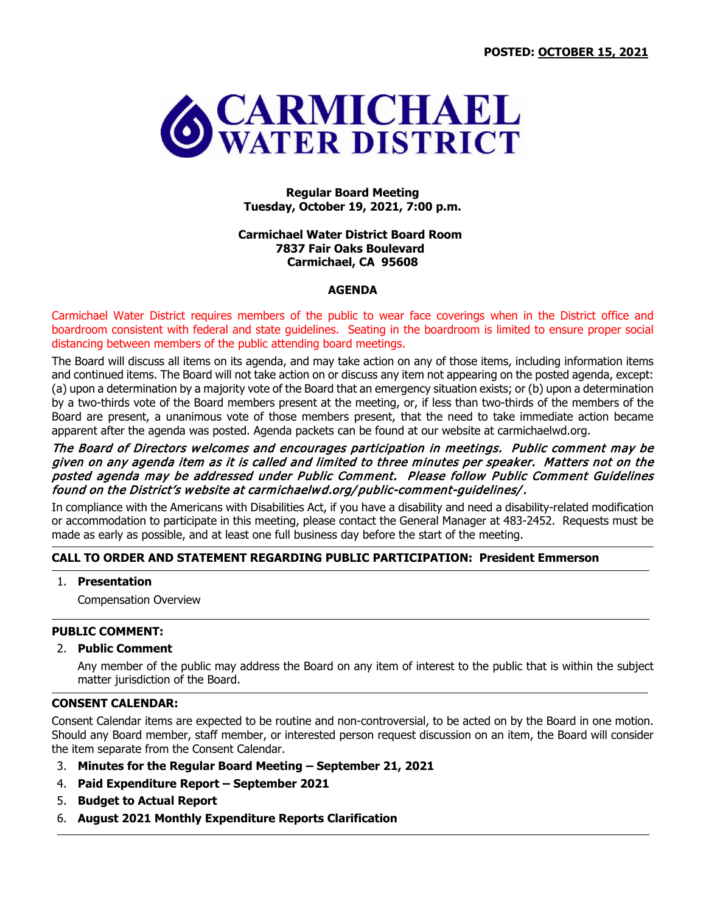

**Regular Board Meeting Tuesday, October 19, 2021, 7:00 p.m.**

### **Carmichael Water District Board Room 7837 Fair Oaks Boulevard Carmichael, CA 95608**

### **AGENDA**

Carmichael Water District requires members of the public to wear face coverings when in the District office and boardroom consistent with federal and state guidelines. Seating in the boardroom is limited to ensure proper social distancing between members of the public attending board meetings.

The Board will discuss all items on its agenda, and may take action on any of those items, including information items and continued items. The Board will not take action on or discuss any item not appearing on the posted agenda, except: (a) upon a determination by a majority vote of the Board that an emergency situation exists; or (b) upon a determination by a two-thirds vote of the Board members present at the meeting, or, if less than two-thirds of the members of the Board are present, a unanimous vote of those members present, that the need to take immediate action became apparent after the agenda was posted. Agenda packets can be found at our website at carmichaelwd.org.

## The Board of Directors welcomes and encourages participation in meetings. Public comment may be given on any agenda item as it is called and limited to three minutes per speaker. Matters not on the posted agenda may be addressed under Public Comment. Please follow Public Comment Guidelines found on the District's website at carmichaelwd.org/ public-comment-guidelines/.

In compliance with the Americans with Disabilities Act, if you have a disability and need a disability-related modification or accommodation to participate in this meeting, please contact the General Manager at 483-2452. Requests must be made as early as possible, and at least one full business day before the start of the meeting.

## **CALL TO ORDER AND STATEMENT REGARDING PUBLIC PARTICIPATION: President Emmerson**

## 1. **Presentation**

Compensation Overview

## **PUBLIC COMMENT:**

#### 2. **Public Comment**

Any member of the public may address the Board on any item of interest to the public that is within the subject matter jurisdiction of the Board.

## **CONSENT CALENDAR:**

Consent Calendar items are expected to be routine and non-controversial, to be acted on by the Board in one motion. Should any Board member, staff member, or interested person request discussion on an item, the Board will consider the item separate from the Consent Calendar.

- 3. **Minutes for the Regular Board Meeting – September 21, 2021**
- 4. **Paid Expenditure Report – September 2021**
- 5. **Budget to Actual Report**
- 6. **August 2021 Monthly Expenditure Reports Clarification**